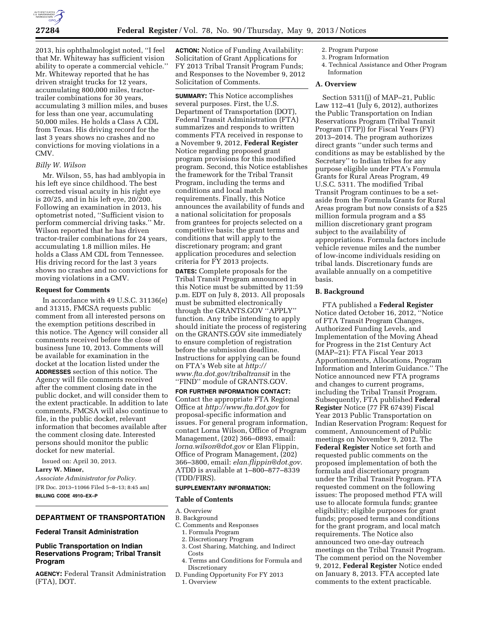

2013, his ophthalmologist noted, ''I feel that Mr. Whiteway has sufficient vision ability to operate a commercial vehicle.'' Mr. Whiteway reported that he has driven straight trucks for 12 years, accumulating 800,000 miles, tractortrailer combinations for 30 years, accumulating 3 million miles, and buses for less than one year, accumulating 50,000 miles. He holds a Class A CDL from Texas. His driving record for the last 3 years shows no crashes and no convictions for moving violations in a CMV.

# *Billy W. Wilson*

Mr. Wilson, 55, has had amblyopia in his left eye since childhood. The best corrected visual acuity in his right eye is 20/25, and in his left eye, 20/200. Following an examination in 2013, his optometrist noted, ''Sufficient vision to perform commercial driving tasks.'' Mr. Wilson reported that he has driven tractor-trailer combinations for 24 years, accumulating 1.8 million miles. He holds a Class AM CDL from Tennessee. His driving record for the last 3 years shows no crashes and no convictions for moving violations in a CMV.

# **Request for Comments**

In accordance with 49 U.S.C. 31136(e) and 31315, FMCSA requests public comment from all interested persons on the exemption petitions described in this notice. The Agency will consider all comments received before the close of business June 10, 2013. Comments will be available for examination in the docket at the location listed under the **ADDRESSES** section of this notice. The Agency will file comments received after the comment closing date in the public docket, and will consider them to the extent practicable. In addition to late comments, FMCSA will also continue to file, in the public docket, relevant information that becomes available after the comment closing date. Interested persons should monitor the public docket for new material.

Issued on: April 30, 2013.

**Larry W. Minor,** 

*Associate Administrator for Policy.*  [FR Doc. 2013–11066 Filed 5–8–13; 8:45 am] **BILLING CODE 4910–EX–P** 

# **DEPARTMENT OF TRANSPORTATION**

## **Federal Transit Administration**

# **Public Transportation on Indian Reservations Program; Tribal Transit Program**

**AGENCY:** Federal Transit Administration (FTA), DOT.

**ACTION:** Notice of Funding Availability: Solicitation of Grant Applications for FY 2013 Tribal Transit Program Funds; and Responses to the November 9, 2012 Solicitation of Comments.

**SUMMARY:** This Notice accomplishes several purposes. First, the U.S. Department of Transportation (DOT), Federal Transit Administration (FTA) summarizes and responds to written comments FTA received in response to a November 9, 2012, **Federal Register**  Notice regarding proposed grant program provisions for this modified program. Second, this Notice establishes the framework for the Tribal Transit Program, including the terms and conditions and local match requirements. Finally, this Notice announces the availability of funds and a national solicitation for proposals from grantees for projects selected on a competitive basis; the grant terms and conditions that will apply to the discretionary program; and grant application procedures and selection criteria for FY 2013 projects.

**DATES:** Complete proposals for the Tribal Transit Program announced in this Notice must be submitted by 11:59 p.m. EDT on July 8, 2013. All proposals must be submitted electronically through the GRANTS.GOV ''APPLY'' function. Any tribe intending to apply should initiate the process of registering on the GRANTS.GOV site immediately to ensure completion of registration before the submission deadline. Instructions for applying can be found on FTA's Web site at *[http://](http://www.fta.dot.gov/tribaltransit)  [www.fta.dot.gov/tribaltransit](http://www.fta.dot.gov/tribaltransit)* in the ''FIND'' module of GRANTS.GOV.

**FOR FURTHER INFORMATION CONTACT:**  Contact the appropriate FTA Regional Office at *<http://www.fta.dot.gov>*for proposal-specific information and issues. For general program information, contact Lorna Wilson, Office of Program Management, (202) 366–0893, email: *[lorna.wilson@dot.gov](mailto:lorna.wilson@dot.gov)* or Elan Flippin, Office of Program Management, (202) 366–3800, email: *[elan.flippin@dot.gov](mailto:elan.flippin@dot.gov)*. ATDD is available at 1–800–877–8339 (TDD/FIRS).

#### **SUPPLEMENTARY INFORMATION:**

#### **Table of Contents**

- A. Overview
- B. Background
- C. Comments and Responses
	- 1. Formula Program
	- 2. Discretionary Program
	- 3. Cost Sharing, Matching, and Indirect **Costs**
	- 4. Terms and Conditions for Formula and Discretionary
- D. Funding Opportunity For FY 2013 1. Overview
- 2. Program Purpose
- 3. Program Information
- 4. Technical Assistance and Other Program Information

# **A. Overview**

Section 5311(j) of MAP–21, Public Law 112–41 (July 6, 2012), authorizes the Public Transportation on Indian Reservations Program (Tribal Transit Program (TTP)) for Fiscal Years (FY) 2013–2014. The program authorizes direct grants ''under such terms and conditions as may be established by the Secretary'' to Indian tribes for any purpose eligible under FTA's Formula Grants for Rural Areas Program, 49 U.S.C. 5311. The modified Tribal Transit Program continues to be a setaside from the Formula Grants for Rural Areas program but now consists of a \$25 million formula program and a \$5 million discretionary grant program subject to the availability of appropriations. Formula factors include vehicle revenue miles and the number of low-income individuals residing on tribal lands. Discretionary funds are available annually on a competitive basis.

## **B. Background**

FTA published a **Federal Register**  Notice dated October 16, 2012, ''Notice of FTA Transit Program Changes, Authorized Funding Levels, and Implementation of the Moving Ahead for Progress in the 21st Century Act (MAP–21): FTA Fiscal Year 2013 Apportionments, Allocations, Program Information and Interim Guidance.'' The Notice announced new FTA programs and changes to current programs, including the Tribal Transit Program. Subsequently, FTA published **Federal Register** Notice (77 FR 67439) Fiscal Year 2013 Public Transportation on Indian Reservation Program: Request for comment, Announcement of Public meetings on November 9, 2012. The **Federal Register** Notice set forth and requested public comments on the proposed implementation of both the formula and discretionary program under the Tribal Transit Program. FTA requested comment on the following issues: The proposed method FTA will use to allocate formula funds; grantee eligibility; eligible purposes for grant funds; proposed terms and conditions for the grant program, and local match requirements. The Notice also announced two one-day outreach meetings on the Tribal Transit Program. The comment period on the November 9, 2012, **Federal Register** Notice ended on January 8, 2013. FTA accepted late comments to the extent practicable.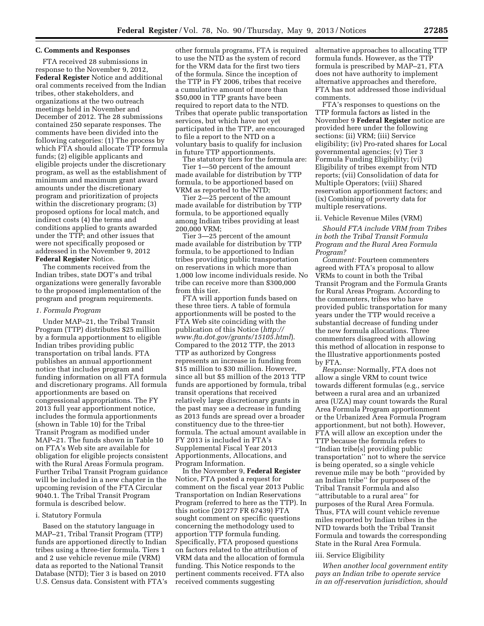# **C. Comments and Responses**

FTA received 28 submissions in response to the November 9, 2012, **Federal Register** Notice and additional oral comments received from the Indian tribes, other stakeholders, and organizations at the two outreach meetings held in November and December of 2012. The 28 submissions contained 250 separate responses. The comments have been divided into the following categories: (1) The process by which FTA should allocate TTP formula funds; (2) eligible applicants and eligible projects under the discretionary program, as well as the establishment of minimum and maximum grant award amounts under the discretionary program and prioritization of projects within the discretionary program; (3) proposed options for local match, and indirect costs (4) the terms and conditions applied to grants awarded under the TTP; and other issues that were not specifically proposed or addressed in the November 9, 2012 **Federal Register** Notice.

The comments received from the Indian tribes, state DOT's and tribal organizations were generally favorable to the proposed implementation of the program and program requirements.

#### *1. Formula Program*

Under MAP–21, the Tribal Transit Program (TTP) distributes \$25 million by a formula apportionment to eligible Indian tribes providing public transportation on tribal lands. FTA publishes an annual apportionment notice that includes program and funding information on all FTA formula and discretionary programs. All formula apportionments are based on congressional appropriations. The FY 2013 full year apportionment notice, includes the formula apportionments (shown in Table 10) for the Tribal Transit Program as modified under MAP–21. The funds shown in Table 10 on FTA's Web site are available for obligation for eligible projects consistent with the Rural Areas Formula program. Further Tribal Transit Program guidance will be included in a new chapter in the upcoming revision of the FTA Circular 9040.1. The Tribal Transit Program formula is described below.

#### i. Statutory Formula

Based on the statutory language in MAP–21, Tribal Transit Program (TTP) funds are apportioned directly to Indian tribes using a three-tier formula. Tiers 1 and 2 use vehicle revenue mile (VRM) data as reported to the National Transit Database (NTD); Tier 3 is based on 2010 U.S. Census data. Consistent with FTA's other formula programs, FTA is required to use the NTD as the system of record for the VRM data for the first two tiers of the formula. Since the inception of the TTP in FY 2006, tribes that receive a cumulative amount of more than \$50,000 in TTP grants have been required to report data to the NTD. Tribes that operate public transportation services, but which have not yet participated in the TTP, are encouraged to file a report to the NTD on a voluntary basis to qualify for inclusion in future TTP apportionments.

The statutory tiers for the formula are: Tier 1—50 percent of the amount made available for distribution by TTP formula, to be apportioned based on VRM as reported to the NTD;

Tier 2—25 percent of the amount made available for distribution by TTP formula, to be apportioned equally among Indian tribes providing at least 200,000 VRM;

Tier 3—25 percent of the amount made available for distribution by TTP formula, to be apportioned to Indian tribes providing public transportation on reservations in which more than 1,000 low income individuals reside. No tribe can receive more than \$300,000 from this tier.

FTA will apportion funds based on these three tiers. A table of formula apportionments will be posted to the FTA Web site coinciding with the publication of this Notice (*[http://](http://www.fta.dot.gov/grants/15105.html) [www.fta.dot.gov/grants/15105.html](http://www.fta.dot.gov/grants/15105.html)*). Compared to the 2012 TTP, the 2013 TTP as authorized by Congress represents an increase in funding from \$15 million to \$30 million. However, since all but \$5 million of the 2013 TTP funds are apportioned by formula, tribal transit operations that received relatively large discretionary grants in the past may see a decrease in funding as 2013 funds are spread over a broader constituency due to the three-tier formula. The actual amount available in FY 2013 is included in FTA's Supplemental Fiscal Year 2013 Apportionments, Allocations, and Program Information.

In the November 9, **Federal Register**  Notice, FTA posted a request for comment on the fiscal year 2013 Public Transportation on Indian Reservations Program (referred to here as the TTP). In this notice (201277 FR 67439) FTA sought comment on specific questions concerning the methodology used to apportion TTP formula funding. Specifically, FTA proposed questions on factors related to the attribution of VRM data and the allocation of formula funding. This Notice responds to the pertinent comments received. FTA also received comments suggesting

alternative approaches to allocating TTP formula funds. However, as the TTP formula is prescribed by MAP–21, FTA does not have authority to implement alternative approaches and therefore, FTA has not addressed those individual comments.

FTA's responses to questions on the TTP formula factors as listed in the November 9 **Federal Register** notice are provided here under the following sections: (ii) VRM; (iii) Service eligibility; (iv) Pro-rated shares for Local governmental agencies; (v) Tier 3 Formula Funding Eligibility; (vi) Eligibility of tribes exempt from NTD reports; (vii) Consolidation of data for Multiple Operators; (viii) Shared reservation apportionment factors; and (ix) Combining of poverty data for multiple reservations.

#### ii. Vehicle Revenue Miles (VRM)

*Should FTA include VRM from Tribes in both the Tribal Transit Formula Program and the Rural Area Formula Program?* 

*Comment:* Fourteen commenters agreed with FTA's proposal to allow VRMs to count in both the Tribal Transit Program and the Formula Grants for Rural Areas Program. According to the commenters, tribes who have provided public transportation for many years under the TTP would receive a substantial decrease of funding under the new formula allocations. Three commenters disagreed with allowing this method of allocation in response to the Illustrative apportionments posted by FTA.

*Response:* Normally, FTA does not allow a single VRM to count twice towards different formulas (e.g., service between a rural area and an urbanized area (UZA) may count towards the Rural Area Formula Program apportionment or the Urbanized Area Formula Program apportionment, but not both). However, FTA will allow an exception under the TTP because the formula refers to ''Indian tribe[s] providing public transportation'' not to where the service is being operated, so a single vehicle revenue mile may be both ''provided by an Indian tribe'' for purposes of the Tribal Transit Formula and also ''attributable to a rural area'' for purposes of the Rural Area Formula. Thus, FTA will count vehicle revenue miles reported by Indian tribes in the NTD towards both the Tribal Transit Formula and towards the corresponding State in the Rural Area Formula.

# iii. Service Eligibility

*When another local government entity pays an Indian tribe to operate service in an off-reservation jurisdiction, should*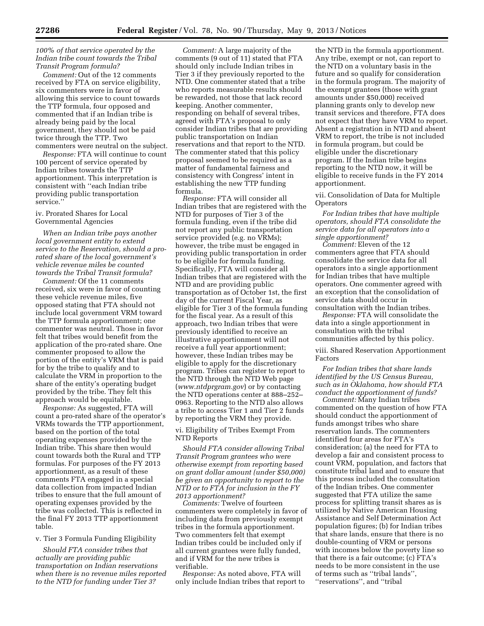# *100% of that service operated by the Indian tribe count towards the Tribal Transit Program formula?*

*Comment:* Out of the 12 comments received by FTA on service eligibility, six commenters were in favor of allowing this service to count towards the TTP formula, four opposed and commented that if an Indian tribe is already being paid by the local government, they should not be paid twice through the TTP. Two commenters were neutral on the subject.

*Response:* FTA will continue to count 100 percent of service operated by Indian tribes towards the TTP apportionment. This interpretation is consistent with ''each Indian tribe providing public transportation service.''

### iv. Prorated Shares for Local Governmental Agencies

*When an Indian tribe pays another local government entity to extend service to the Reservation, should a prorated share of the local government's vehicle revenue miles be counted towards the Tribal Transit formula?* 

*Comment:* Of the 11 comments received, six were in favor of counting these vehicle revenue miles, five opposed stating that FTA should not include local government VRM toward the TTP formula apportionment; one commenter was neutral. Those in favor felt that tribes would benefit from the application of the pro-rated share. One commenter proposed to allow the portion of the entity's VRM that is paid for by the tribe to qualify and to calculate the VRM in proportion to the share of the entity's operating budget provided by the tribe. They felt this approach would be equitable.

*Response:* As suggested, FTA will count a pro-rated share of the operator's VRMs towards the TTP apportionment, based on the portion of the total operating expenses provided by the Indian tribe. This share then would count towards both the Rural and TTP formulas. For purposes of the FY 2013 apportionment, as a result of these comments FTA engaged in a special data collection from impacted Indian tribes to ensure that the full amount of operating expenses provided by the tribe was collected. This is reflected in the final FY 2013 TTP apportionment table.

# v. Tier 3 Formula Funding Eligibility

*Should FTA consider tribes that actually are providing public transportation on Indian reservations when there is no revenue miles reported to the NTD for funding under Tier 3?* 

*Comment:* A large majority of the comments (9 out of 11) stated that FTA should only include Indian tribes in Tier 3 if they previously reported to the NTD. One commenter stated that a tribe who reports measurable results should be rewarded, not those that lack record keeping. Another commenter, responding on behalf of several tribes, agreed with FTA's proposal to only consider Indian tribes that are providing public transportation on Indian reservations and that report to the NTD. The commenter stated that this policy proposal seemed to be required as a matter of fundamental fairness and consistency with Congress' intent in establishing the new TTP funding formula.

*Response:* FTA will consider all Indian tribes that are registered with the NTD for purposes of Tier 3 of the formula funding, even if the tribe did not report any public transportation service provided (e.g. no VRMs); however, the tribe must be engaged in providing public transportation in order to be eligible for formula funding. Specifically, FTA will consider all Indian tribes that are registered with the NTD and are providing public transportation as of October 1st, the first day of the current Fiscal Year, as eligible for Tier 3 of the formula funding for the fiscal year. As a result of this approach, two Indian tribes that were previously identified to receive an illustrative apportionment will not receive a full year apportionment; however, these Indian tribes may be eligible to apply for the discretionary program. Tribes can register to report to the NTD through the NTD Web page (*[www.ntdprgram.gov](http://www.ntdprgram.gov)*) or by contacting the NTD operations center at 888–252– 0963. Reporting to the NTD also allows a tribe to access Tier 1 and Tier 2 funds by reporting the VRM they provide.

vi. Eligibility of Tribes Exempt From NTD Reports

*Should FTA consider allowing Tribal Transit Program grantees who were otherwise exempt from reporting based on grant dollar amount (under \$50,000) be given an opportunity to report to the NTD or to FTA for inclusion in the FY 2013 apportionment?* 

*Comments:* Twelve of fourteen commenters were completely in favor of including data from previously exempt tribes in the formula apportionment. Two commenters felt that exempt Indian tribes could be included only if all current grantees were fully funded, and if VRM for the new tribes is verifiable.

*Response:* As noted above, FTA will only include Indian tribes that report to

the NTD in the formula apportionment. Any tribe, exempt or not, can report to the NTD on a voluntary basis in the future and so qualify for consideration in the formula program. The majority of the exempt grantees (those with grant amounts under \$50,000) received planning grants only to develop new transit services and therefore, FTA does not expect that they have VRM to report. Absent a registration in NTD and absent VRM to report, the tribe is not included in formula program, but could be eligible under the discretionary program. If the Indian tribe begins reporting to the NTD now, it will be eligible to receive funds in the FY 2014 apportionment.

vii. Consolidation of Data for Multiple **Operators** 

*For Indian tribes that have multiple operators, should FTA consolidate the service data for all operators into a single apportionment?* 

*Comment:* Eleven of the 12 commenters agree that FTA should consolidate the service data for all operators into a single apportionment for Indian tribes that have multiple operators. One commenter agreed with an exception that the consolidation of service data should occur in consultation with the Indian tribes.

*Response:* FTA will consolidate the data into a single apportionment in consultation with the tribal communities affected by this policy.

viii. Shared Reservation Apportionment Factors

*For Indian tribes that share lands identified by the US Census Bureau, such as in Oklahoma, how should FTA conduct the apportionment of funds?* 

*Comment:* Many Indian tribes commented on the question of how FTA should conduct the apportionment of funds amongst tribes who share reservation lands. The commenters identified four areas for FTA's consideration; (a) the need for FTA to develop a fair and consistent process to count VRM, population, and factors that constitute tribal land and to ensure that this process included the consultation of the Indian tribes. One commenter suggested that FTA utilize the same process for splitting transit shares as is utilized by Native American Housing Assistance and Self Determination Act population figures; (b) for Indian tribes that share lands, ensure that there is no double-counting of VRM or persons with incomes below the poverty line so that there is a fair outcome; (c) FTA's needs to be more consistent in the use of terms such as ''tribal lands'', ''reservations'', and ''tribal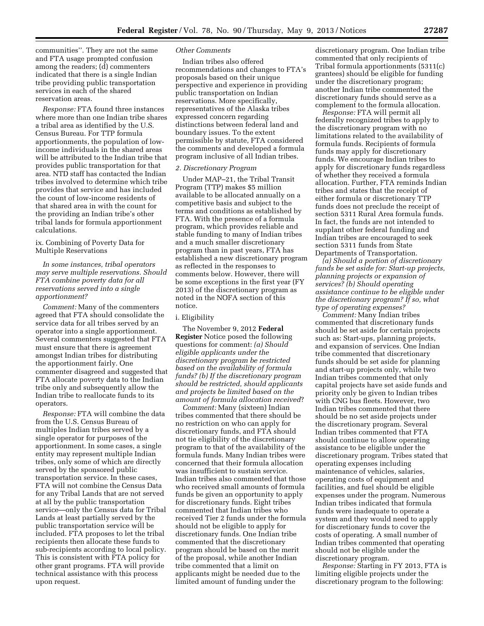communities''. They are not the same and FTA usage prompted confusion among the readers; (d) commenters indicated that there is a single Indian tribe providing public transportation services in each of the shared reservation areas.

*Response:* FTA found three instances where more than one Indian tribe shares a tribal area as identified by the U.S. Census Bureau. For TTP formula apportionments, the population of lowincome individuals in the shared areas will be attributed to the Indian tribe that provides public transportation for that area. NTD staff has contacted the Indian tribes involved to determine which tribe provides that service and has included the count of low-income residents of that shared area in with the count for the providing an Indian tribe's other tribal lands for formula apportionment calculations.

# ix. Combining of Poverty Data for Multiple Reservations

# *In some instances, tribal operators may serve multiple reservations. Should FTA combine poverty data for all reservations served into a single apportionment?*

*Comment:* Many of the commenters agreed that FTA should consolidate the service data for all tribes served by an operator into a single apportionment. Several commenters suggested that FTA must ensure that there is agreement amongst Indian tribes for distributing the apportionment fairly. One commenter disagreed and suggested that FTA allocate poverty data to the Indian tribe only and subsequently allow the Indian tribe to reallocate funds to its operators.

*Response:* FTA will combine the data from the U.S. Census Bureau of multiples Indian tribes served by a single operator for purposes of the apportionment. In some cases, a single entity may represent multiple Indian tribes, only some of which are directly served by the sponsored public transportation service. In these cases, FTA will not combine the Census Data for any Tribal Lands that are not served at all by the public transportation service—only the Census data for Tribal Lands at least partially served by the public transportation service will be included. FTA proposes to let the tribal recipients then allocate these funds to sub-recipients according to local policy. This is consistent with FTA policy for other grant programs. FTA will provide technical assistance with this process upon request.

# *Other Comments*

Indian tribes also offered recommendations and changes to FTA's proposals based on their unique perspective and experience in providing public transportation on Indian reservations. More specifically, representatives of the Alaska tribes expressed concern regarding distinctions between federal land and boundary issues. To the extent permissible by statute, FTA considered the comments and developed a formula program inclusive of all Indian tribes.

## *2. Discretionary Program*

Under MAP–21, the Tribal Transit Program (TTP) makes \$5 million available to be allocated annually on a competitive basis and subject to the terms and conditions as established by FTA. With the presence of a formula program, which provides reliable and stable funding to many of Indian tribes and a much smaller discretionary program than in past years, FTA has established a new discretionary program as reflected in the responses to comments below. However, there will be some exceptions in the first year (FY 2013) of the discretionary program as noted in the NOFA section of this notice.

# i. Eligibility

The November 9, 2012 **Federal Register** Notice posed the following questions for comment: *(a) Should eligible applicants under the discretionary program be restricted based on the availability of formula funds? (b) If the discretionary program should be restricted, should applicants and projects be limited based on the amount of formula allocation received*?

*Comment:* Many (sixteen) Indian tribes commented that there should be no restriction on who can apply for discretionary funds, and FTA should not tie eligibility of the discretionary program to that of the availability of the formula funds. Many Indian tribes were concerned that their formula allocation was insufficient to sustain service. Indian tribes also commented that those who received small amounts of formula funds be given an opportunity to apply for discretionary funds. Eight tribes commented that Indian tribes who received Tier 2 funds under the formula should not be eligible to apply for discretionary funds. One Indian tribe commented that the discretionary program should be based on the merit of the proposal, while another Indian tribe commented that a limit on applicants might be needed due to the limited amount of funding under the

discretionary program. One Indian tribe commented that only recipients of Tribal formula apportionments (5311(c) grantees) should be eligible for funding under the discretionary program; another Indian tribe commented the discretionary funds should serve as a complement to the formula allocation.

*Response:* FTA will permit all federally recognized tribes to apply to the discretionary program with no limitations related to the availability of formula funds. Recipients of formula funds may apply for discretionary funds. We encourage Indian tribes to apply for discretionary funds regardless of whether they received a formula allocation. Further, FTA reminds Indian tribes and states that the receipt of either formula or discretionary TTP funds does not preclude the receipt of section 5311 Rural Area formula funds. In fact, the funds are not intended to supplant other federal funding and Indian tribes are encouraged to seek section 5311 funds from State Departments of Transportation.

*(a) Should a portion of discretionary funds be set aside for: Start-up projects, planning projects or expansion of services? (b) Should operating assistance continue to be eligible under the discretionary program? If so, what type of operating expenses?* 

*Comment:* Many Indian tribes commented that discretionary funds should be set aside for certain projects such as: Start-ups, planning projects, and expansion of services. One Indian tribe commented that discretionary funds should be set aside for planning and start-up projects only, while two Indian tribes commented that only capital projects have set aside funds and priority only be given to Indian tribes with CNG bus fleets. However, two Indian tribes commented that there should be no set aside projects under the discretionary program. Several Indian tribes commented that FTA should continue to allow operating assistance to be eligible under the discretionary program. Tribes stated that operating expenses including maintenance of vehicles, salaries, operating costs of equipment and facilities, and fuel should be eligible expenses under the program. Numerous Indian tribes indicated that formula funds were inadequate to operate a system and they would need to apply for discretionary funds to cover the costs of operating. A small number of Indian tribes commented that operating should not be eligible under the discretionary program.

*Response:* Starting in FY 2013, FTA is limiting eligible projects under the discretionary program to the following: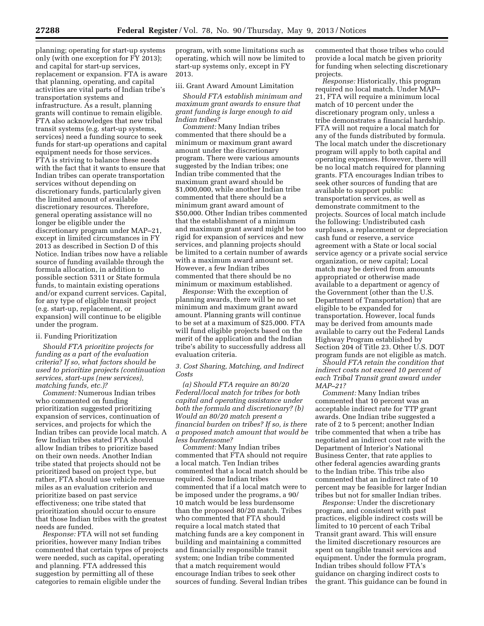planning; operating for start-up systems only (with one exception for FY 2013); and capital for start-up services, replacement or expansion. FTA is aware that planning, operating, and capital activities are vital parts of Indian tribe's transportation systems and infrastructure. As a result, planning grants will continue to remain eligible. FTA also acknowledges that new tribal transit systems (e.g. start-up systems, services) need a funding source to seek funds for start-up operations and capital equipment needs for those services. FTA is striving to balance these needs with the fact that it wants to ensure that Indian tribes can operate transportation services without depending on discretionary funds, particularly given the limited amount of available discretionary resources. Therefore, general operating assistance will no longer be eligible under the discretionary program under MAP–21, except in limited circumstances in FY 2013 as described in Section D of this Notice. Indian tribes now have a reliable source of funding available through the formula allocation, in addition to possible section 5311 or State formula funds, to maintain existing operations and/or expand current services. Capital, for any type of eligible transit project (e.g. start-up, replacement, or expansion) will continue to be eligible under the program.

## ii. Funding Prioritization

*Should FTA prioritize projects for funding as a part of the evaluation criteria? If so, what factors should be used to prioritize projects (continuation services, start-ups (new services), matching funds, etc.)?* 

*Comment:* Numerous Indian tribes who commented on funding prioritization suggested prioritizing expansion of services, continuation of services, and projects for which the Indian tribes can provide local match. A few Indian tribes stated FTA should allow Indian tribes to prioritize based on their own needs. Another Indian tribe stated that projects should not be prioritized based on project type, but rather, FTA should use vehicle revenue miles as an evaluation criterion and prioritize based on past service effectiveness; one tribe stated that prioritization should occur to ensure that those Indian tribes with the greatest needs are funded.

*Response:* FTA will not set funding priorities, however many Indian tribes commented that certain types of projects were needed, such as capital, operating and planning. FTA addressed this suggestion by permitting all of these categories to remain eligible under the

program, with some limitations such as operating, which will now be limited to start-up systems only, except in FY 2013.

# iii. Grant Award Amount Limitation

*Should FTA establish minimum and maximum grant awards to ensure that grant funding is large enough to aid Indian tribes?* 

*Comment:* Many Indian tribes commented that there should be a minimum or maximum grant award amount under the discretionary program. There were various amounts suggested by the Indian tribes; one Indian tribe commented that the maximum grant award should be \$1,000,000, while another Indian tribe commented that there should be a minimum grant award amount of \$50,000. Other Indian tribes commented that the establishment of a minimum and maximum grant award might be too rigid for expansion of services and new services, and planning projects should be limited to a certain number of awards with a maximum award amount set. However, a few Indian tribes commented that there should be no minimum or maximum established.

*Response:* With the exception of planning awards, there will be no set minimum and maximum grant award amount. Planning grants will continue to be set at a maximum of \$25,000. FTA will fund eligible projects based on the merit of the application and the Indian tribe's ability to successfully address all evaluation criteria.

### *3. Cost Sharing, Matching, and Indirect Costs*

*(a) Should FTA require an 80/20 Federal/local match for tribes for both capital and operating assistance under both the formula and discretionary? (b) Would an 80/20 match present a financial burden on tribes? If so, is there a proposed match amount that would be less burdensome?* 

*Comment:* Many Indian tribes commented that FTA should not require a local match. Ten Indian tribes commented that a local match should be required. Some Indian tribes commented that if a local match were to be imposed under the programs, a 90/ 10 match would be less burdensome than the proposed 80/20 match. Tribes who commented that FTA should require a local match stated that matching funds are a key component in building and maintaining a committed and financially responsible transit system; one Indian tribe commented that a match requirement would encourage Indian tribes to seek other sources of funding. Several Indian tribes

commented that those tribes who could provide a local match be given priority for funding when selecting discretionary projects.

*Response:* Historically, this program required no local match. Under MAP– 21, FTA will require a minimum local match of 10 percent under the discretionary program only, unless a tribe demonstrates a financial hardship. FTA will not require a local match for any of the funds distributed by formula. The local match under the discretionary program will apply to both capital and operating expenses. However, there will be no local match required for planning grants. FTA encourages Indian tribes to seek other sources of funding that are available to support public transportation services, as well as demonstrate commitment to the projects. Sources of local match include the following: Undistributed cash surpluses, a replacement or depreciation cash fund or reserve, a service agreement with a State or local social service agency or a private social service organization, or new capital; Local match may be derived from amounts appropriated or otherwise made available to a department or agency of the Government (other than the U.S. Department of Transportation) that are eligible to be expanded for transportation. However, local funds may be derived from amounts made available to carry out the Federal Lands Highway Program established by Section 204 of Title 23. Other U.S. DOT program funds are not eligible as match.

*Should FTA retain the condition that indirect costs not exceed 10 percent of each Tribal Transit grant award under MAP–21?* 

*Comment:* Many Indian tribes commented that 10 percent was an acceptable indirect rate for TTP grant awards. One Indian tribe suggested a rate of 2 to 5 percent; another Indian tribe commented that when a tribe has negotiated an indirect cost rate with the Department of Interior's National Business Center, that rate applies to other federal agencies awarding grants to the Indian tribe. This tribe also commented that an indirect rate of 10 percent may be feasible for larger Indian tribes but not for smaller Indian tribes.

*Response:* Under the discretionary program, and consistent with past practices, eligible indirect costs will be limited to 10 percent of each Tribal Transit grant award. This will ensure the limited discretionary resources are spent on tangible transit services and equipment. Under the formula program, Indian tribes should follow FTA's guidance on charging indirect costs to the grant. This guidance can be found in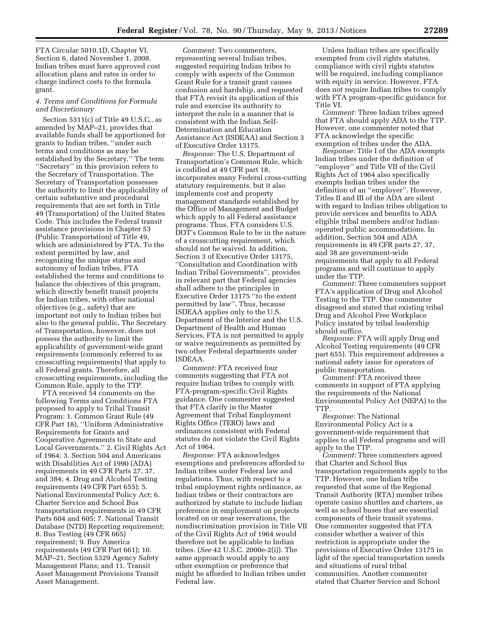FTA Circular 5010.1D, Chapter VI, Section 6, dated November 1, 2008. Indian tribes must have approved cost allocation plans and rates in order to charge indirect costs to the formula grant.

### *4. Terms and Conditions for Formula and Discretionary*

Section 5311(c) of Title 49 U.S.C., as amended by MAP–21, provides that available funds shall be apportioned for grants to Indian tribes, ''under such terms and conditions as may be established by the Secretary.'' The term ''Secretary'' in this provision refers to the Secretary of Transportation. The Secretary of Transportation possesses the authority to limit the applicability of certain substantive and procedural requirements that are set forth in Title 49 (Transportation) of the United States Code. This includes the Federal transit assistance provisions in Chapter 53 (Public Transportation) of Title 49, which are administered by FTA. To the extent permitted by law, and recognizing the unique status and autonomy of Indian tribes, FTA established the terms and conditions to balance the objectives of this program, which directly benefit transit projects for Indian tribes, with other national objectives (e.g., safety) that are important not only to Indian tribes but also to the general public. The Secretary of Transportation, however, does not possess the authority to limit the applicability of government-wide grant requirements (commonly referred to as crosscutting requirements) that apply to all Federal grants. Therefore, all crosscutting requirements, including the Common Rule, apply to the TTP.

FTA received 54 comments on the following Terms and Conditions FTA proposed to apply to Tribal Transit Program: 1. Common Grant Rule (49 CFR Part 18), ''Uniform Administrative Requirements for Grants and Cooperative Agreements to State and Local Governments.'' 2. Civil Rights Act of 1964; 3. Section 504 and Americans with Disabilities Act of 1990 (ADA) requirements in 49 CFR Parts 27, 37, and 384; 4. Drug and Alcohol Testing requirements (49 CFR Part 655); 5. National Environmental Policy Act; 6. Charter Service and School Bus transportation requirements in 49 CFR Parts 604 and 605; 7. National Transit Database (NTD) Reporting requirement; 8. Bus Testing (49 CFR 665) requirement; 9. Buy America requirements (49 CFR Part 661); 10. MAP–21, Section 5329 Agency Safety Management Plans; and 11. Transit Asset Management Provisions Transit Asset Management.

*Comment:* Two commenters, representing several Indian tribes, suggested requiring Indian tribes to comply with aspects of the Common Grant Rule for a transit grant causes confusion and hardship, and requested that FTA revisit its application of this rule and exercise its authority to interpret the rule in a manner that is consistent with the Indian Self-Determination and Education Assistance Act (ISDEAA) and Section 3 of Executive Order 13175.

*Response:* The U.S. Department of Transportation's Common Rule, which is codified at 49 CFR part 18, incorporates many Federal cross-cutting statutory requirements, but it also implements cost and property management standards established by the Office of Management and Budget which apply to all Federal assistance programs. Thus, FTA considers U.S. DOT's Common Rule to be in the nature of a crosscutting requirement, which should not be waived. In addition, Section 3 of Executive Order 13175, ''Consultation and Coordination with Indian Tribal Governments'', provides in relevant part that Federal agencies shall adhere to the principles in Executive Order 13175 ''to the extent permitted by law''. Thus, because ISDEAA applies only to the U.S. Department of the Interior and the U.S. Department of Health and Human Services, FTA is not permitted to apply or waive requirements as permitted by two other Federal departments under ISDEAA.

*Comment:* FTA received four comments suggesting that FTA not require Indian tribes to comply with FTA-program-specific Civil Rights guidance. One commenter suggested that FTA clarify in the Master Agreement that Tribal Employment Rights Office (TERO) laws and ordinances consistent with Federal statutes do not violate the Civil Rights Act of 1964.

*Response:* FTA acknowledges exemptions and preferences afforded to Indian tribes under Federal law and regulations. Thus, with respect to a tribal employment rights ordinance, as Indian tribes or their contractors are authorized by statute to include Indian preference in employment on projects located on or near reservations, the nondiscrimination provision in Title VII of the Civil Rights Act of 1964 would therefore not be applicable to Indian tribes. (*See* 42 U.S.C. 2000e-2(i)). The same approach would apply to any other exemption or preference that might be afforded to Indian tribes under Federal law.

Unless Indian tribes are specifically exempted from civil rights statutes, compliance with civil rights statutes will be required, including compliance with equity in service. However, FTA does not require Indian tribes to comply with FTA program-specific guidance for Title VI.

*Comment:* Three Indian tribes agreed that FTA should apply ADA to the TTP. However, one commenter noted that FTA acknowledge the specific exemption of tribes under the ADA.

*Response:* Title I of the ADA exempts Indian tribes under the definition of ''employer'' and Title VII of the Civil Rights Act of 1964 also specifically exempts Indian tribes under the definition of an ''employer''. However, Titles II and III of the ADA are silent with regard to Indian tribes obligation to provide services and benefits to ADA eligible tribal members and/or Indianoperated public accommodations. In addition, Section 504 and ADA requirements in 49 CFR parts 27, 37, and 38 are government-wide requirements that apply to all Federal programs and will continue to apply under the TTP.

*Comment:* Three commenters support FTA's application of Drug and Alcohol Testing to the TTP. One commenter disagreed and stated that existing tribal Drug and Alcohol Free Workplace Policy instated by tribal leadership should suffice.

*Response:* FTA will apply Drug and Alcohol Testing requirements (49 CFR part 655). This requirement addresses a national safety issue for operators of public transportation.

*Comment:* FTA received three comments in support of FTA applying the requirements of the National Environmental Policy Act (NEPA) to the TTP.

*Response:* The National Environmental Policy Act is a government-wide requirement that applies to all Federal programs and will apply to the TTP.

*Comment:* Three commenters agreed that Charter and School Bus transportation requirements apply to the TTP. However, one Indian tribe requested that some of the Regional Transit Authority (RTA) member tribes operate casino shuttles and charters, as well as school buses that are essential components of their transit systems. One commenter suggested that FTA consider whether a waiver of this restriction is appropriate under the provisions of Executive Order 13175 in light of the special transportation needs and situations of rural tribal communities. Another commenter stated that Charter Service and School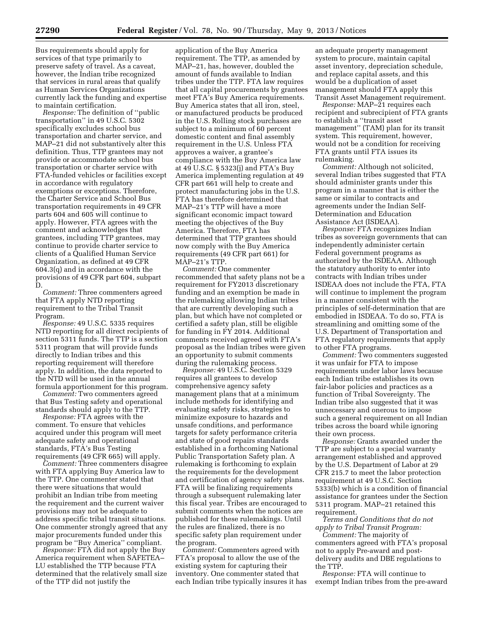Bus requirements should apply for services of that type primarily to preserve safety of travel. As a caveat, however, the Indian tribe recognized that services in rural areas that qualify as Human Services Organizations currently lack the funding and expertise to maintain certification.

*Response:* The definition of ''public transportation'' in 49 U.S.C. 5302 specifically excludes school bus transportation and charter service, and MAP–21 did not substantively alter this definition. Thus, TTP grantees may not provide or accommodate school bus transportation or charter service with FTA-funded vehicles or facilities except in accordance with regulatory exemptions or exceptions. Therefore, the Charter Service and School Bus transportation requirements in 49 CFR parts 604 and 605 will continue to apply. However, FTA agrees with the comment and acknowledges that grantees, including TTP grantees, may continue to provide charter service to clients of a Qualified Human Service Organization, as defined at 49 CFR 604.3(q) and in accordance with the provisions of 49 CFR part 604, subpart D.

*Comment:* Three commenters agreed that FTA apply NTD reporting requirement to the Tribal Transit Program.

*Response:* 49 U.S.C. 5335 requires NTD reporting for all direct recipients of section 5311 funds. The TTP is a section 5311 program that will provide funds directly to Indian tribes and this reporting requirement will therefore apply. In addition, the data reported to the NTD will be used in the annual formula apportionment for this program.

*Comment:* Two commenters agreed that Bus Testing safety and operational standards should apply to the TTP.

*Response:* FTA agrees with the comment. To ensure that vehicles acquired under this program will meet adequate safety and operational standards, FTA's Bus Testing requirements (49 CFR 665) will apply.

*Comment:* Three commenters disagree with FTA applying Buy America law to the TTP. One commenter stated that there were situations that would prohibit an Indian tribe from meeting the requirement and the current waiver provisions may not be adequate to address specific tribal transit situations. One commenter strongly agreed that any major procurements funded under this program be ''Buy America'' compliant.

*Response:* FTA did not apply the Buy America requirement when SAFETEA– LU established the TTP because FTA determined that the relatively small size of the TTP did not justify the

application of the Buy America requirement. The TTP, as amended by MAP–21, has, however, doubled the amount of funds available to Indian tribes under the TTP. FTA law requires that all capital procurements by grantees meet FTA's Buy America requirements. Buy America states that all iron, steel, or manufactured products be produced in the U.S. Rolling stock purchases are subject to a minimum of 60 percent domestic content and final assembly requirement in the U.S. Unless FTA approves a waiver, a grantee's compliance with the Buy America law at 49 U.S.C. § 5323(j) and FTA's Buy America implementing regulation at 49 CFR part 661 will help to create and protect manufacturing jobs in the U.S. FTA has therefore determined that MAP–21's TTP will have a more significant economic impact toward meeting the objectives of the Buy America. Therefore, FTA has determined that TTP grantees should now comply with the Buy America requirements (49 CFR part 661) for MAP–21's TTP.

*Comment:* One commenter recommended that safety plans not be a requirement for FY2013 discretionary funding and an exemption be made in the rulemaking allowing Indian tribes that are currently developing such a plan, but which have not completed or certified a safety plan, still be eligible for funding in FY 2014. Additional comments received agreed with FTA's proposal as the Indian tribes were given an opportunity to submit comments during the rulemaking process.

*Response:* 49 U.S.C. Section 5329 requires all grantees to develop comprehensive agency safety management plans that at a minimum include methods for identifying and evaluating safety risks, strategies to minimize exposure to hazards and unsafe conditions, and performance targets for safety performance criteria and state of good repairs standards established in a forthcoming National Public Transportation Safety plan. A rulemaking is forthcoming to explain the requirements for the development and certification of agency safety plans. FTA will be finalizing requirements through a subsequent rulemaking later this fiscal year. Tribes are encouraged to submit comments when the notices are published for these rulemakings. Until the rules are finalized, there is no specific safety plan requirement under the program.

*Comment:* Commenters agreed with FTA's proposal to allow the use of the existing system for capturing their inventory. One commenter stated that each Indian tribe typically insures it has

an adequate property management system to procure, maintain capital asset inventory, depreciation schedule, and replace capital assets, and this would be a duplication of asset management should FTA apply this Transit Asset Management requirement.

*Response:* MAP–21 requires each recipient and subrecipient of FTA grants to establish a ''transit asset management'' (TAM) plan for its transit system. This requirement, however, would not be a condition for receiving FTA grants until FTA issues its rulemaking.

*Comment:* Although not solicited, several Indian tribes suggested that FTA should administer grants under this program in a manner that is either the same or similar to contracts and agreements under the Indian Self-Determination and Education Assistance Act (ISDEAA).

*Response:* FTA recognizes Indian tribes as sovereign governments that can independently administer certain Federal government programs as authorized by the ISDEAA. Although the statutory authority to enter into contracts with Indian tribes under ISDEAA does not include the FTA, FTA will continue to implement the program in a manner consistent with the principles of self-determination that are embodied in ISDEAA. To do so, FTA is streamlining and omitting some of the U.S. Department of Transportation and FTA regulatory requirements that apply to other FTA programs.

*Comment:* Two commenters suggested it was unfair for FTA to impose requirements under labor laws because each Indian tribe establishes its own fair-labor policies and practices as a function of Tribal Sovereignty. The Indian tribe also suggested that it was unnecessary and onerous to impose such a general requirement on all Indian tribes across the board while ignoring their own process.

*Response:* Grants awarded under the TTP are subject to a special warranty arrangement established and approved by the U.S. Department of Labor at 29 CFR 215.7 to meet the labor protection requirement at 49 U.S.C. Section 5333(b) which is a condition of financial assistance for grantees under the Section 5311 program. MAP–21 retained this requirement.

*Terms and Conditions that do not apply to Tribal Transit Program:* 

*Comment:* The majority of commenters agreed with FTA's proposal not to apply Pre-award and postdelivery audits and DBE regulations to the TTP.

*Response:* FTA will continue to exempt Indian tribes from the pre-award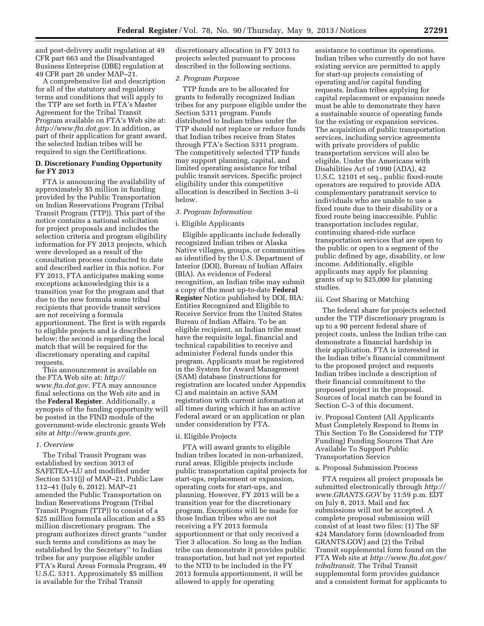and post-delivery audit regulation at 49 CFR part 663 and the Disadvantaged Business Enterprise (DBE) regulation at 49 CFR part 26 under MAP–21.

A comprehensive list and description for all of the statutory and regulatory terms and conditions that will apply to the TTP are set forth in FTA's Master Agreement for the Tribal Transit Program available on FTA's Web site at: *<http://www.fta.dot.gov>*. In addition, as part of their application for grant award, the selected Indian tribes will be required to sign the Certifications.

# **D. Discretionary Funding Opportunity for FY 2013**

FTA is announcing the availability of approximately \$5 million in funding provided by the Public Transportation on Indian Reservations Program (Tribal Transit Program (TTP)). This part of the notice contains a national solicitation for project proposals and includes the selection criteria and program eligibility information for FY 2013 projects, which were developed as a result of the consultation process conducted to date and described earlier in this notice. For FY 2013, FTA anticipates making some exceptions acknowledging this is a transition year for the program and that due to the new formula some tribal recipients that provide transit services are not receiving a formula apportionment. The first is with regards to eligible projects and is described below; the second is regarding the local match that will be required for the discretionary operating and capital requests.

This announcement is available on the FTA Web site at: *[http://](http://www.fta.dot.gov) [www.fta.dot.gov](http://www.fta.dot.gov)*. FTA may announce final selections on the Web site and in the **Federal Register**. Additionally, a synopsis of the funding opportunity will be posted in the FIND module of the government-wide electronic grants Web site at *<http://www.grants.gov>*.

# *1. Overview*

The Tribal Transit Program was established by section 3013 of SAFETEA–LU and modified under Section 5311(j) of MAP–21, Public Law 112–41 (July 6, 2012). MAP–21 amended the Public Transportation on Indian Reservations Program (Tribal Transit Program (TTP)) to consist of a \$25 million formula allocation and a \$5 million discretionary program. The program authorizes direct grants ''under such terms and conditions as may be established by the Secretary'' to Indian tribes for any purpose eligible under FTA's Rural Areas Formula Program, 49 U.S.C. 5311. Approximately \$5 million is available for the Tribal Transit

discretionary allocation in FY 2013 to projects selected pursuant to process described in the following sections.

# *2. Program Purpose*

TTP funds are to be allocated for grants to federally recognized Indian tribes for any purpose eligible under the Section 5311 program. Funds distributed to Indian tribes under the TTP should not replace or reduce funds that Indian tribes receive from States through FTA's Section 5311 program. The competitively selected TTP funds may support planning, capital, and limited operating assistance for tribal public transit services. Specific project eligibility under this competitive allocation is described in Section 3–ii below.

# *3. Program Information*

### i. Eligible Applicants

Eligible applicants include federally recognized Indian tribes or Alaska Native villages, groups, or communities as identified by the U.S. Department of Interior (DOI), Bureau of Indian Affairs (BIA). As evidence of Federal recognition, an Indian tribe may submit a copy of the most up-to-date **Federal Register** Notice published by DOI, BIA: Entities Recognized and Eligible to Receive Service from the United States Bureau of Indian Affairs. To be an eligible recipient, an Indian tribe must have the requisite legal, financial and technical capabilities to receive and administer Federal funds under this program. Applicants must be registered in the System for Award Management (SAM) database (instructions for registration are located under Appendix C) and maintain an active SAM registration with current information at all times during which it has an active Federal award or an application or plan under consideration by FTA.

# ii. Eligible Projects

FTA will award grants to eligible Indian tribes located in non-urbanized, rural areas. Eligible projects include public transportation capital projects for start-ups, replacement or expansion, operating costs for start-ups, and planning. However, FY 2013 will be a transition year for the discretionary program. Exceptions will be made for those Indian tribes who are not receiving a FY 2013 formula apportionment or that only received a Tier 3 allocation. So long as the Indian tribe can demonstrate it provides public transportation, but had not yet reported to the NTD to be included in the FY 2013 formula apportionment, it will be allowed to apply for operating

assistance to continue its operations. Indian tribes who currently do not have existing service are permitted to apply for start-up projects consisting of operating and/or capital funding requests. Indian tribes applying for capital replacement or expansion needs must be able to demonstrate they have a sustainable source of operating funds for the existing or expansion services. The acquisition of public transportation services, including service agreements with private providers of public transportation services will also be eligible. Under the Americans with Disabilities Act of 1990 (ADA), 42 U.S.C. 12101 et seq., public fixed-route operators are required to provide ADA complementary paratransit service to individuals who are unable to use a fixed route due to their disability or a fixed route being inaccessible. Public transportation includes regular, continuing shared-ride surface transportation services that are open to the public or open to a segment of the public defined by age, disability, or low income. Additionally, eligible applicants may apply for planning grants of up to \$25,000 for planning studies.

#### iii. Cost Sharing or Matching

The federal share for projects selected under the TTP discretionary program is up to a 90 percent federal share of project costs, unless the Indian tribe can demonstrate a financial hardship in their application. FTA is interested in the Indian tribe's financial commitment to the proposed project and requests Indian tribes include a description of their financial commitment to the proposed project in the proposal. Sources of local match can be found in Section C–3 of this document.

iv. Proposal Content (All Applicants Must Completely Respond to Items in This Section To Be Considered for TTP Funding) Funding Sources That Are Available To Support Public Transportation Service

# a. Proposal Submission Process

FTA requires all project proposals be submitted electronically through *[http://](http://www.GRANTS.GOV) [www.GRANTS.GOV](http://www.GRANTS.GOV)* by 11:59 p.m. EDT on July 8, 2013. Mail and fax submissions will not be accepted. A complete proposal submission will consist of at least two files: (1) The SF 424 Mandatory form (downloaded from GRANTS.GOV) and (2) the Tribal Transit supplemental form found on the FTA Web site at *[http://www.fta.dot.gov/](http://www.fta.dot.gov/tribaltransit)  [tribaltransit](http://www.fta.dot.gov/tribaltransit)*. The Tribal Transit supplemental form provides guidance and a consistent format for applicants to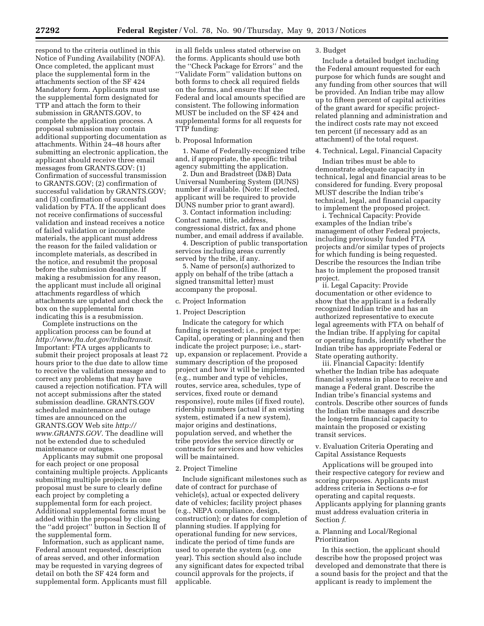respond to the criteria outlined in this Notice of Funding Availability (NOFA). Once completed, the applicant must place the supplemental form in the attachments section of the SF 424 Mandatory form. Applicants must use the supplemental form designated for TTP and attach the form to their submission in GRANTS.GOV, to complete the application process. A proposal submission may contain additional supporting documentation as attachments. Within 24–48 hours after submitting an electronic application, the applicant should receive three email messages from GRANTS.GOV: (1) Confirmation of successful transmission to GRANTS.GOV; (2) confirmation of successful validation by GRANTS.GOV; and (3) confirmation of successful validation by FTA. If the applicant does not receive confirmations of successful validation and instead receives a notice of failed validation or incomplete materials, the applicant must address the reason for the failed validation or incomplete materials, as described in the notice, and resubmit the proposal before the submission deadline. If making a resubmission for any reason, the applicant must include all original attachments regardless of which attachments are updated and check the box on the supplemental form indicating this is a resubmission.

Complete instructions on the application process can be found at *<http://www.fta.dot.gov/tribaltransit>*. Important: FTA urges applicants to submit their project proposals at least 72 hours prior to the due date to allow time to receive the validation message and to correct any problems that may have caused a rejection notification. FTA will not accept submissions after the stated submission deadline. GRANTS.GOV scheduled maintenance and outage times are announced on the GRANTS.GOV Web site *[http://](http://www.GRANTS.GOV) [www.GRANTS.GOV](http://www.GRANTS.GOV)*. The deadline will not be extended due to scheduled maintenance or outages.

Applicants may submit one proposal for each project or one proposal containing multiple projects. Applicants submitting multiple projects in one proposal must be sure to clearly define each project by completing a supplemental form for each project. Additional supplemental forms must be added within the proposal by clicking the ''add project'' button in Section II of the supplemental form.

Information, such as applicant name, Federal amount requested, description of areas served, and other information may be requested in varying degrees of detail on both the SF 424 form and supplemental form. Applicants must fill in all fields unless stated otherwise on the forms. Applicants should use both the ''Check Package for Errors'' and the ''Validate Form'' validation buttons on both forms to check all required fields on the forms, and ensure that the Federal and local amounts specified are consistent. The following information MUST be included on the SF 424 and supplemental forms for all requests for TTP funding:

# b. Proposal Information

1. Name of Federally-recognized tribe and, if appropriate, the specific tribal agency submitting the application.

2. Dun and Bradstreet (D&B) Data Universal Numbering System (DUNS) number if available. (Note: If selected, applicant will be required to provide DUNS number prior to grant award).

3. Contact information including: Contact name, title, address, congressional district, fax and phone number, and email address if available.

4. Description of public transportation services including areas currently served by the tribe, if any.

5. Name of person(s) authorized to apply on behalf of the tribe (attach a signed transmittal letter) must accompany the proposal.

#### c. Project Information

# 1. Project Description

Indicate the category for which funding is requested; i.e., project type: Capital, operating or planning and then indicate the project purpose; i.e., startup, expansion or replacement. Provide a summary description of the proposed project and how it will be implemented (e.g., number and type of vehicles, routes, service area, schedules, type of services, fixed route or demand responsive), route miles (if fixed route), ridership numbers (actual if an existing system, estimated if a new system), major origins and destinations, population served, and whether the tribe provides the service directly or contracts for services and how vehicles will be maintained.

### 2. Project Timeline

Include significant milestones such as date of contract for purchase of vehicle(s), actual or expected delivery date of vehicles; facility project phases (e.g., NEPA compliance, design, construction); or dates for completion of planning studies. If applying for operational funding for new services, indicate the period of time funds are used to operate the system (e.g. one year). This section should also include any significant dates for expected tribal council approvals for the projects, if applicable.

# 3. Budget

Include a detailed budget including the Federal amount requested for each purpose for which funds are sought and any funding from other sources that will be provided. An Indian tribe may allow up to fifteen percent of capital activities of the grant award for specific projectrelated planning and administration and the indirect costs rate may not exceed ten percent (if necessary add as an attachment) of the total request.

#### 4. Technical, Legal, Financial Capacity

Indian tribes must be able to demonstrate adequate capacity in technical, legal and financial areas to be considered for funding. Every proposal MUST describe the Indian tribe's technical, legal, and financial capacity to implement the proposed project.

i. Technical Capacity: Provide examples of the Indian tribe's management of other Federal projects, including previously funded FTA projects and/or similar types of projects for which funding is being requested. Describe the resources the Indian tribe has to implement the proposed transit project.

ii. Legal Capacity: Provide documentation or other evidence to show that the applicant is a federally recognized Indian tribe and has an authorized representative to execute legal agreements with FTA on behalf of the Indian tribe. If applying for capital or operating funds, identify whether the Indian tribe has appropriate Federal or State operating authority.

iii. Financial Capacity: Identify whether the Indian tribe has adequate financial systems in place to receive and manage a Federal grant. Describe the Indian tribe's financial systems and controls. Describe other sources of funds the Indian tribe manages and describe the long-term financial capacity to maintain the proposed or existing transit services.

v. Evaluation Criteria Operating and Capital Assistance Requests

Applications will be grouped into their respective category for review and scoring purposes. Applicants must address criteria in Sections *a–e* for operating and capital requests. Applicants applying for planning grants must address evaluation criteria in Section *f.* 

# a. Planning and Local/Regional Prioritization

In this section, the applicant should describe how the proposed project was developed and demonstrate that there is a sound basis for the project and that the applicant is ready to implement the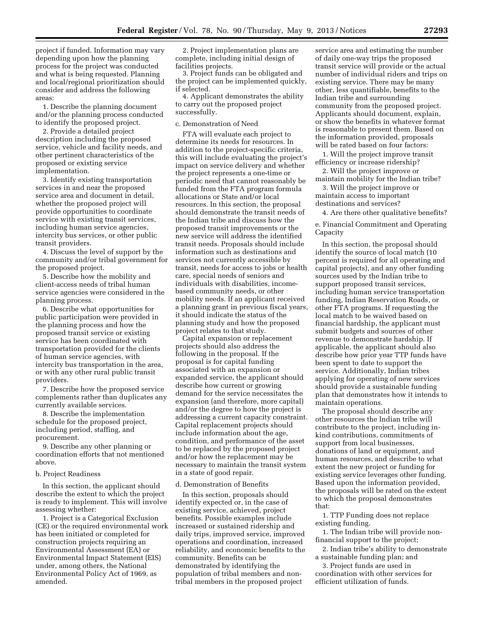project if funded. Information may vary depending upon how the planning process for the project was conducted and what is being requested. Planning and local/regional prioritization should consider and address the following areas:

1. Describe the planning document and/or the planning process conducted to identify the proposed project.

2. Provide a detailed project description including the proposed service, vehicle and facility needs, and other pertinent characteristics of the proposed or existing service implementation.

3. Identify existing transportation services in and near the proposed service area and document in detail, whether the proposed project will provide opportunities to coordinate service with existing transit services, including human service agencies, intercity bus services, or other public transit providers.

4. Discuss the level of support by the community and/or tribal government for the proposed project.

5. Describe how the mobility and client-access needs of tribal human service agencies were considered in the planning process.

6. Describe what opportunities for public participation were provided in the planning process and how the proposed transit service or existing service has been coordinated with transportation provided for the clients of human service agencies, with intercity bus transportation in the area, or with any other rural public transit providers.

7. Describe how the proposed service complements rather than duplicates any currently available services.

8. Describe the implementation schedule for the proposed project, including period, staffing, and procurement.

9. Describe any other planning or coordination efforts that not mentioned above.

# b. Project Readiness

In this section, the applicant should describe the extent to which the project is ready to implement. This will involve assessing whether:

1. Project is a Categorical Exclusion (CE) or the required environmental work has been initiated or completed for construction projects requiring an Environmental Assessment (EA) or Environmental Impact Statement (EIS) under, among others, the National Environmental Policy Act of 1969, as amended.

2. Project implementation plans are complete, including initial design of facilities projects.

3. Project funds can be obligated and the project can be implemented quickly, if selected.

4. Applicant demonstrates the ability to carry out the proposed project successfully.

c. Demonstration of Need

FTA will evaluate each project to determine its needs for resources. In addition to the project-specific criteria, this will include evaluating the project's impact on service delivery and whether the project represents a one-time or periodic need that cannot reasonably be funded from the FTA program formula allocations or State and/or local resources. In this section, the proposal should demonstrate the transit needs of the Indian tribe and discuss how the proposed transit improvements or the new service will address the identified transit needs. Proposals should include information such as destinations and services not currently accessible by transit, needs for access to jobs or health care, special needs of seniors and individuals with disabilities, incomebased community needs, or other mobility needs. If an applicant received a planning grant in previous fiscal years, it should indicate the status of the planning study and how the proposed project relates to that study.

Capital expansion or replacement projects should also address the following in the proposal. If the proposal is for capital funding associated with an expansion or expanded service, the applicant should describe how current or growing demand for the service necessitates the expansion (and therefore, more capital) and/or the degree to how the project is addressing a current capacity constraint. Capital replacement projects should include information about the age, condition, and performance of the asset to be replaced by the proposed project and/or how the replacement may be necessary to maintain the transit system in a state of good repair.

### d. Demonstration of Benefits

In this section, proposals should identify expected or, in the case of existing service, achieved, project benefits. Possible examples include increased or sustained ridership and daily trips, improved service, improved operations and coordination, increased reliability, and economic benefits to the community. Benefits can be demonstrated by identifying the population of tribal members and nontribal members in the proposed project

service area and estimating the number of daily one-way trips the proposed transit service will provide or the actual number of individual riders and trips on existing service. There may be many other, less quantifiable, benefits to the Indian tribe and surrounding community from the proposed project. Applicants should document, explain, or show the benefits in whatever format is reasonable to present them. Based on the information provided, proposals will be rated based on four factors:

1. Will the project improve transit efficiency or increase ridership?

2. Will the project improve or maintain mobility for the Indian tribe?

3. Will the project improve or maintain access to important destinations and services?

4. Are there other qualitative benefits?

e. Financial Commitment and Operating Capacity

In this section, the proposal should identify the source of local match (10 percent is required for all operating and capital projects), and any other funding sources used by the Indian tribe to support proposed transit services, including human service transportation funding, Indian Reservation Roads, or other FTA programs. If requesting the local match to be waived based on financial hardship, the applicant must submit budgets and sources of other revenue to demonstrate hardship. If applicable, the applicant should also describe how prior year TTP funds have been spent to date to support the service. Additionally, Indian tribes applying for operating of new services should provide a sustainable funding plan that demonstrates how it intends to maintain operations.

The proposal should describe any other resources the Indian tribe will contribute to the project, including inkind contributions, commitments of support from local businesses, donations of land or equipment, and human resources, and describe to what extent the new project or funding for existing service leverages other funding. Based upon the information provided, the proposals will be rated on the extent to which the proposal demonstrates that:

1. TTP Funding does not replace existing funding.

1. The Indian tribe will provide nonfinancial support to the project;

2. Indian tribe's ability to demonstrate a sustainable funding plan; and

3. Project funds are used in coordination with other services for efficient utilization of funds.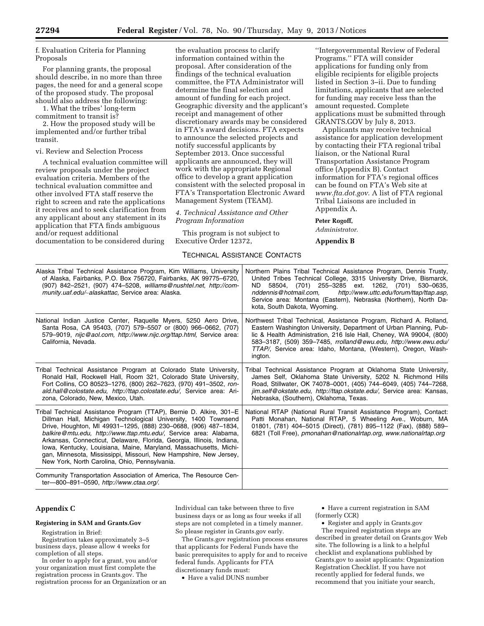f. Evaluation Criteria for Planning Proposals

For planning grants, the proposal should describe, in no more than three pages, the need for and a general scope of the proposed study. The proposal should also address the following:

1. What the tribes' long-term commitment to transit is?

2. How the proposed study will be implemented and/or further tribal transit.

#### vi. Review and Selection Process

A technical evaluation committee will review proposals under the project evaluation criteria. Members of the technical evaluation committee and other involved FTA staff reserve the right to screen and rate the applications it receives and to seek clarification from any applicant about any statement in its application that FTA finds ambiguous and/or request additional

documentation to be considered during

the evaluation process to clarify information contained within the proposal. After consideration of the findings of the technical evaluation committee, the FTA Administrator will determine the final selection and amount of funding for each project. Geographic diversity and the applicant's receipt and management of other discretionary awards may be considered in FTA's award decisions. FTA expects to announce the selected projects and notify successful applicants by September 2013. Once successful applicants are announced, they will work with the appropriate Regional office to develop a grant application consistent with the selected proposal in FTA's Transportation Electronic Award Management System (TEAM).

# *4. Technical Assistance and Other Program Information*

This program is not subject to Executive Order 12372,

TECHNICAL ASSISTANCE CONTACTS

''Intergovernmental Review of Federal Programs.'' FTA will consider applications for funding only from eligible recipients for eligible projects listed in Section 3–ii. Due to funding limitations, applicants that are selected for funding may receive less than the amount requested. Complete applications must be submitted through GRANTS.GOV by July 8, 2013.

Applicants may receive technical assistance for application development by contacting their FTA regional tribal liaison, or the National Rural Transportation Assistance Program office (Appendix B). Contact information for FTA's regional offices can be found on FTA's Web site at *[www.fta.dot.gov](http://www.fta.dot.gov)*. A list of FTA regional Tribal Liaisons are included in Appendix A.

### **Peter Rogoff,**

*Administrator.* 

**Appendix B** 

| Alaska Tribal Technical Assistance Program, Kim Williams, University<br>of Alaska, Fairbanks, P.O. Box 756720, Fairbanks, AK 99775-6720,<br>(907) 842-2521, (907) 474-5208, williams@nushtel.net, http://com-<br>munity.uaf.edu/~alaskattac, Service area: Alaska.                                                                                                                                                                                                                                                                                | Northern Plains Tribal Technical Assistance Program, Dennis Trusty,<br>United Tribes Technical College, 3315 University Drive, Bismarck,<br>58504, (701) 255-3285 ext. 1262, (701) 530-0635,<br>ND -<br>http://www.uttc.edu/forum/ttap/ttap.asp.<br>nddennis@hotmail.com,<br>Service area: Montana (Eastern), Nebraska (Northern), North Da-<br>kota, South Dakota, Wyoming. |
|---------------------------------------------------------------------------------------------------------------------------------------------------------------------------------------------------------------------------------------------------------------------------------------------------------------------------------------------------------------------------------------------------------------------------------------------------------------------------------------------------------------------------------------------------|------------------------------------------------------------------------------------------------------------------------------------------------------------------------------------------------------------------------------------------------------------------------------------------------------------------------------------------------------------------------------|
| National Indian Justice Center, Raquelle Myers, 5250 Aero Drive,<br>Santa Rosa, CA 95403, (707) 579-5507 or (800) 966-0662, (707)<br>579-9019, nijc@aol.com, http://www.nijc.org/ttap.html, Service area:<br>California, Nevada.                                                                                                                                                                                                                                                                                                                  | Northwest Tribal Technical, Assistance Program, Richard A. Rolland,<br>Eastern Washington University, Department of Urban Planning, Pub-<br>lic & Health Administration, 216 Isle Hall, Cheney, WA 99004, (800)<br>583-3187, (509) 359-7485, rrolland@ewu.edu, http://www.ewu.edu/<br>TTAP/, Service area: Idaho, Montana, (Western), Oregon, Wash-<br>ington.               |
| Tribal Technical Assistance Program at Colorado State University,<br>Ronald Hall, Rockwell Hall, Room 321, Colorado State University,<br>Fort Collins, CO 80523-1276, (800) 262-7623, (970) 491-3502, ron-<br>ald.hall@colostate.edu, http://ttap.colostate.edu/, Service area: Ari-<br>zona, Colorado, New, Mexico, Utah.                                                                                                                                                                                                                        | Tribal Technical Assistance Program at Oklahoma State University,<br>James Self, Oklahoma State University, 5202 N. Richmond Hills<br>Road, Stillwater, OK 74078-0001, (405) 744-6049, (405) 744-7268,<br>jim.self@okstate.edu, http://ttap.okstate.edu/, Service area: Kansas,<br>Nebraska, (Southern), Oklahoma, Texas.                                                    |
| Tribal Technical Assistance Program (TTAP), Bernie D. Alkire, 301–E<br>Dillman Hall, Michigan Technological University, 1400 Townsend<br>Drive, Houghton, MI 49931-1295, (888) 230-0688, (906) 487-1834,<br>balkire@mtu.edu, http://www.ttap.mtu.edu/, Service area: Alabama,<br>Arkansas, Connecticut, Delaware, Florida, Georgia, Illinois, Indiana,<br>Iowa, Kentucky, Louisiana, Maine, Maryland, Massachusetts, Michi-<br>gan, Minnesota, Mississippi, Missouri, New Hampshire, New Jersey,<br>New York, North Carolina, Ohio, Pennsylvania. | National RTAP (National Rural Transit Assistance Program), Contact:<br>Patti Monahan, National RTAP, 5 Wheeling Ave., Woburn, MA<br>01801, (781) 404-5015 (Direct), (781) 895-1122 (Fax), (888) 589-<br>6821 (Toll Free), pmonahan@nationalrtap.org, www.nationalrtap.org                                                                                                    |
| Community Transportation Association of America, The Resource Cen-<br>ter-800-891-0590, http://www.ctaa.org/.                                                                                                                                                                                                                                                                                                                                                                                                                                     |                                                                                                                                                                                                                                                                                                                                                                              |

### **Appendix C**

#### **Registering in SAM and Grants.Gov**

Registration in Brief:

Registration takes approximately 3–5 business days, please allow 4 weeks for completion of all steps.

In order to apply for a grant, you and/or your organization must first complete the registration process in Grants.gov. The registration process for an Organization or an

Individual can take between three to five business days or as long as four weeks if all steps are not completed in a timely manner. So please register in Grants.gov early.

The Grants.gov registration process ensures that applicants for Federal Funds have the basic prerequisites to apply for and to receive federal funds. Applicants for FTA discretionary funds must:

• Have a valid DUNS number

• Have a current registration in SAM (formerly CCR)

• Register and apply in Grants.gov The required registration steps are described in greater detail on Grants.gov Web site. The following is a link to a helpful checklist and explanations published by Grants.gov to assist applicants: Organization Registration Checklist. If you have not recently applied for federal funds, we recommend that you initiate your search,